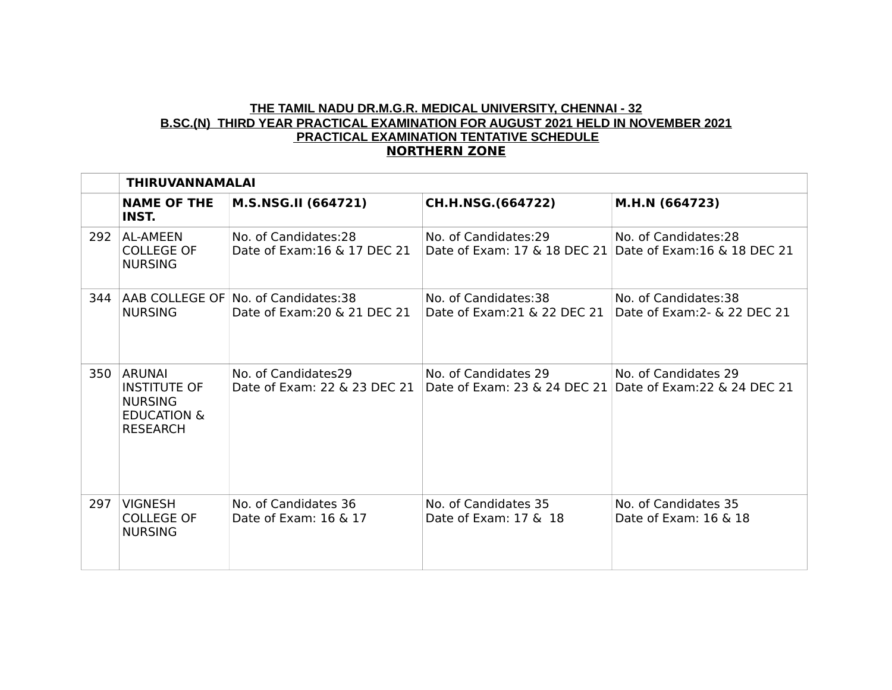# **THE TAMIL NADU DR.M.G.R. MEDICAL UNIVERSITY, CHENNAI - 32 B.SC.(N) THIRD YEAR PRACTICAL EXAMINATION FOR AUGUST 2021 HELD IN NOVEMBER 2021 PRACTICAL EXAMINATION TENTATIVE SCHEDULE NORTHERN ZONE**

|     | <b>THIRUVANNAMALAI</b>                                                                              |                                                                     |                                                                                   |                                                       |  |
|-----|-----------------------------------------------------------------------------------------------------|---------------------------------------------------------------------|-----------------------------------------------------------------------------------|-------------------------------------------------------|--|
|     | <b>NAME OF THE</b><br>INST.                                                                         | M.S.NSG.II (664721)                                                 | CH.H.NSG.(664722)                                                                 | M.H.N (664723)                                        |  |
| 292 | <b>AL-AMEEN</b><br><b>COLLEGE OF</b><br><b>NURSING</b>                                              | No. of Candidates:28<br>Date of Exam: 16 & 17 DEC 21                | No. of Candidates:29<br>Date of Exam: 17 & 18 DEC 21 Date of Exam: 16 & 18 DEC 21 | No. of Candidates:28                                  |  |
| 344 | <b>NURSING</b>                                                                                      | AAB COLLEGE OF No. of Candidates:38<br>Date of Exam: 20 & 21 DEC 21 | No. of Candidates:38<br>Date of Exam: 21 & 22 DEC 21                              | No. of Candidates:38<br>Date of Exam: 2 - & 22 DEC 21 |  |
| 350 | <b>ARUNAI</b><br><b>INSTITUTE OF</b><br><b>NURSING</b><br><b>EDUCATION &amp;</b><br><b>RESEARCH</b> | No. of Candidates29<br>Date of Exam: 22 & 23 DEC 21                 | No. of Candidates 29<br>Date of Exam: 23 & 24 DEC 21 Date of Exam: 22 & 24 DEC 21 | No. of Candidates 29                                  |  |
| 297 | <b>VIGNESH</b><br><b>COLLEGE OF</b><br><b>NURSING</b>                                               | No. of Candidates 36<br>Date of Exam: $16 \& 17$                    | No. of Candidates 35<br>Date of Exam: $17 \& 18$                                  | No. of Candidates 35<br>Date of Exam: 16 & 18         |  |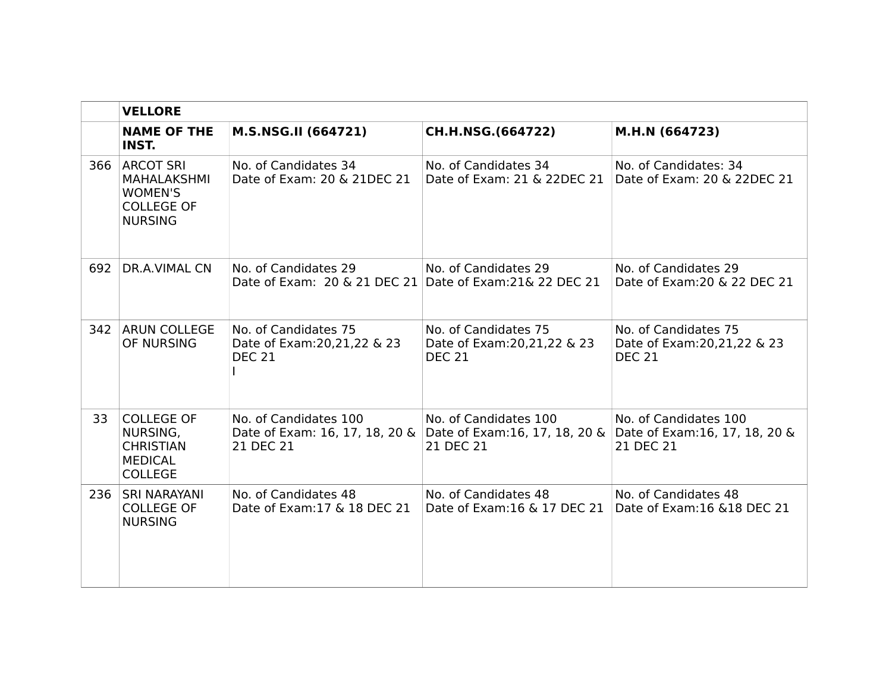|     | <b>VELLORE</b>                                                                                  |                                                                        |                                                                        |                                                                                                   |  |
|-----|-------------------------------------------------------------------------------------------------|------------------------------------------------------------------------|------------------------------------------------------------------------|---------------------------------------------------------------------------------------------------|--|
|     | <b>NAME OF THE</b><br><b>INST.</b>                                                              | M.S.NSG.II (664721)                                                    | CH.H.NSG.(664722)                                                      | M.H.N (664723)                                                                                    |  |
| 366 | <b>ARCOT SRI</b><br><b>MAHALAKSHMI</b><br><b>WOMEN'S</b><br><b>COLLEGE OF</b><br><b>NURSING</b> | No. of Candidates 34<br>Date of Exam: 20 & 21DEC 21                    | No. of Candidates 34<br>Date of Exam: 21 & 22DEC 21                    | No. of Candidates: 34<br>Date of Exam: 20 & 22DEC 21                                              |  |
| 692 | DR.A.VIMAL CN                                                                                   | No. of Candidates 29<br>Date of Exam: 20 & 21 DEC 21                   | No. of Candidates 29<br>Date of Exam: 21& 22 DEC 21                    | No. of Candidates 29<br>Date of Exam: 20 & 22 DEC 21                                              |  |
|     | 342 ARUN COLLEGE<br>OF NURSING                                                                  | No. of Candidates 75<br>Date of Exam: 20, 21, 22 & 23<br><b>DEC 21</b> | No. of Candidates 75<br>Date of Exam: 20, 21, 22 & 23<br><b>DEC 21</b> | No. of Candidates 75<br>Date of Exam: 20, 21, 22 & 23<br><b>DEC 21</b>                            |  |
| 33  | <b>COLLEGE OF</b><br>NURSING,<br><b>CHRISTIAN</b><br><b>MEDICAL</b><br><b>COLLEGE</b>           | No. of Candidates 100<br>Date of Exam: 16, 17, 18, 20 &<br>21 DEC 21   | No. of Candidates 100<br>21 DEC 21                                     | No. of Candidates 100<br>Date of Exam:16, 17, 18, 20 & Date of Exam:16, 17, 18, 20 &<br>21 DEC 21 |  |
| 236 | <b>SRI NARAYANI</b><br><b>COLLEGE OF</b><br><b>NURSING</b>                                      | No. of Candidates 48<br>Date of Exam: 17 & 18 DEC 21                   | No. of Candidates 48<br>Date of Exam: 16 & 17 DEC 21                   | No. of Candidates 48<br>Date of Exam: 16 & 18 DEC 21                                              |  |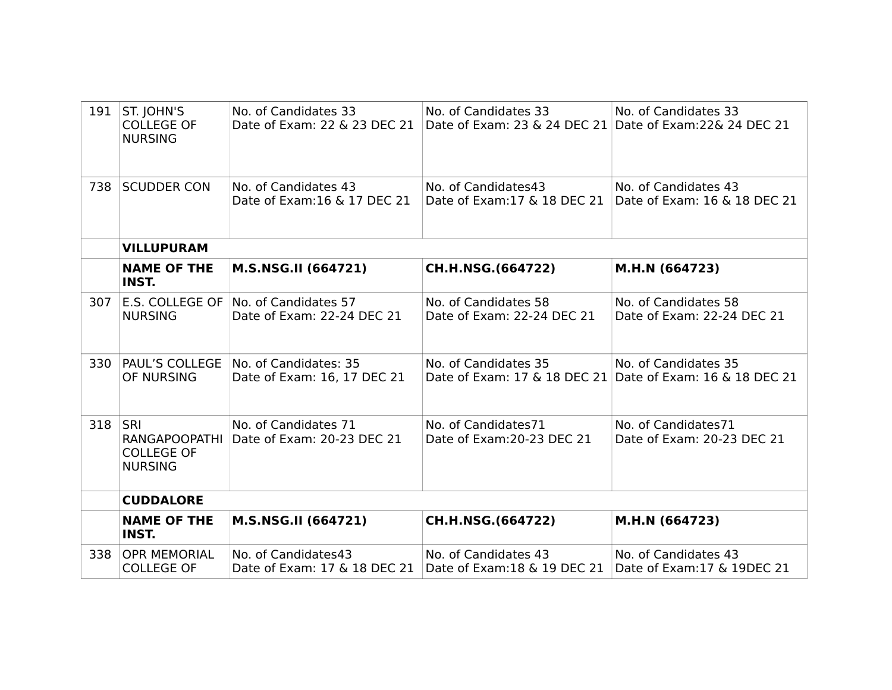| 191       | ST. JOHN'S<br><b>COLLEGE OF</b><br><b>NURSING</b>           | No. of Candidates 33<br>Date of Exam: 22 & 23 DEC 21 | No. of Candidates 33<br>Date of Exam: 23 & 24 DEC 21 Date of Exam: 22& 24 DEC 21 | No. of Candidates 33                                                              |
|-----------|-------------------------------------------------------------|------------------------------------------------------|----------------------------------------------------------------------------------|-----------------------------------------------------------------------------------|
| 738       | <b>SCUDDER CON</b>                                          | No. of Candidates 43<br>Date of Exam: 16 & 17 DEC 21 | No. of Candidates43                                                              | No. of Candidates 43<br>Date of Exam:17 & 18 DEC 21 Date of Exam: 16 & 18 DEC 21  |
|           | <b>VILLUPURAM</b>                                           |                                                      |                                                                                  |                                                                                   |
|           | <b>NAME OF THE</b><br><b>INST.</b>                          | M.S.NSG.II (664721)                                  | CH.H.NSG.(664722)                                                                | M.H.N (664723)                                                                    |
| 307       | E.S. COLLEGE OF<br><b>NURSING</b>                           | No. of Candidates 57<br>Date of Exam: 22-24 DEC 21   | No. of Candidates 58<br>Date of Exam: 22-24 DEC 21                               | No. of Candidates 58<br>Date of Exam: 22-24 DEC 21                                |
| 330       | <b>PAUL'S COLLEGE</b><br>OF NURSING                         | No. of Candidates: 35<br>Date of Exam: 16, 17 DEC 21 | No. of Candidates 35                                                             | No. of Candidates 35<br>Date of Exam: 17 & 18 DEC 21 Date of Exam: 16 & 18 DEC 21 |
| 318   SRI | <b>RANGAPOOPATHI</b><br><b>COLLEGE OF</b><br><b>NURSING</b> | No. of Candidates 71<br>Date of Exam: 20-23 DEC 21   | No. of Candidates71<br>Date of Exam: 20-23 DEC 21                                | No. of Candidates71<br>Date of Exam: 20-23 DEC 21                                 |
|           | <b>CUDDALORE</b>                                            |                                                      |                                                                                  |                                                                                   |
|           | <b>NAME OF THE</b><br><b>INST.</b>                          | M.S.NSG.II (664721)                                  | CH.H.NSG.(664722)                                                                | M.H.N (664723)                                                                    |
| 338       | <b>OPR MEMORIAL</b><br><b>COLLEGE OF</b>                    | No. of Candidates43<br>Date of Exam: 17 & 18 DEC 21  | No. of Candidates 43<br>Date of Exam: 18 & 19 DEC 21                             | No. of Candidates 43<br>Date of Exam: 17 & 19DEC 21                               |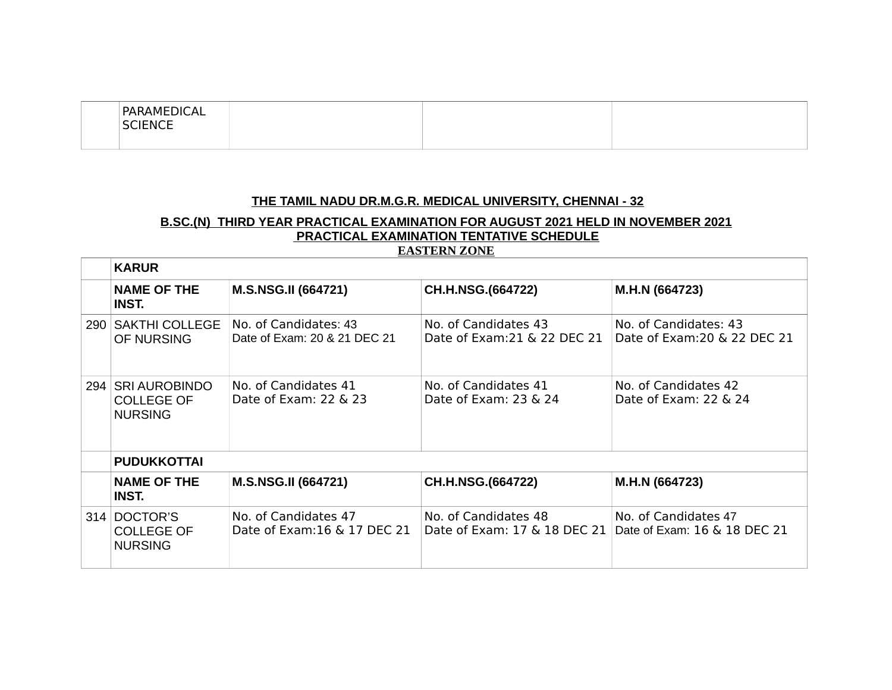| PARAMEDICAL<br><b>SCIENCE</b><br>-177<br>--- |  |  |
|----------------------------------------------|--|--|
|----------------------------------------------|--|--|

#### **THE TAMIL NADU DR.M.G.R. MEDICAL UNIVERSITY, CHENNAI - 32**

# **B.SC.(N) THIRD YEAR PRACTICAL EXAMINATION FOR AUGUST 2021 HELD IN NOVEMBER 2021 PRACTICAL EXAMINATION TENTATIVE SCHEDULE EASTERN ZONE**

| <b>KARUR</b>                                               |                                                       |                                                      |                                                       |  |  |
|------------------------------------------------------------|-------------------------------------------------------|------------------------------------------------------|-------------------------------------------------------|--|--|
| <b>NAME OF THE</b><br>INST.                                | <b>M.S.NSG.II (664721)</b>                            | CH.H.NSG.(664722)                                    | M.H.N (664723)                                        |  |  |
| 290 SAKTHI COLLEGE<br>OF NURSING                           | No. of Candidates: 43<br>Date of Exam: 20 & 21 DEC 21 | No. of Candidates 43<br>Date of Exam: 21 & 22 DEC 21 | No. of Candidates: 43<br>Date of Exam: 20 & 22 DEC 21 |  |  |
| 294   SRI AUROBINDO<br><b>COLLEGE OF</b><br><b>NURSING</b> | No. of Candidates 41<br>Date of Exam: 22 & 23         | No. of Candidates 41<br>Date of Exam: 23 & 24        | No. of Candidates 42<br>Date of Exam: 22 & 24         |  |  |
| <b>PUDUKKOTTAI</b>                                         |                                                       |                                                      |                                                       |  |  |
| <b>NAME OF THE</b><br>INST.                                | <b>M.S.NSG.II (664721)</b>                            | CH.H.NSG.(664722)                                    | M.H.N (664723)                                        |  |  |
| 314 DOCTOR'S<br><b>COLLEGE OF</b><br><b>NURSING</b>        | No. of Candidates 47<br>Date of Exam: 16 & 17 DEC 21  | No. of Candidates 48<br>Date of Exam: 17 & 18 DEC 21 | No. of Candidates 47<br>Date of Exam: 16 & 18 DEC 21  |  |  |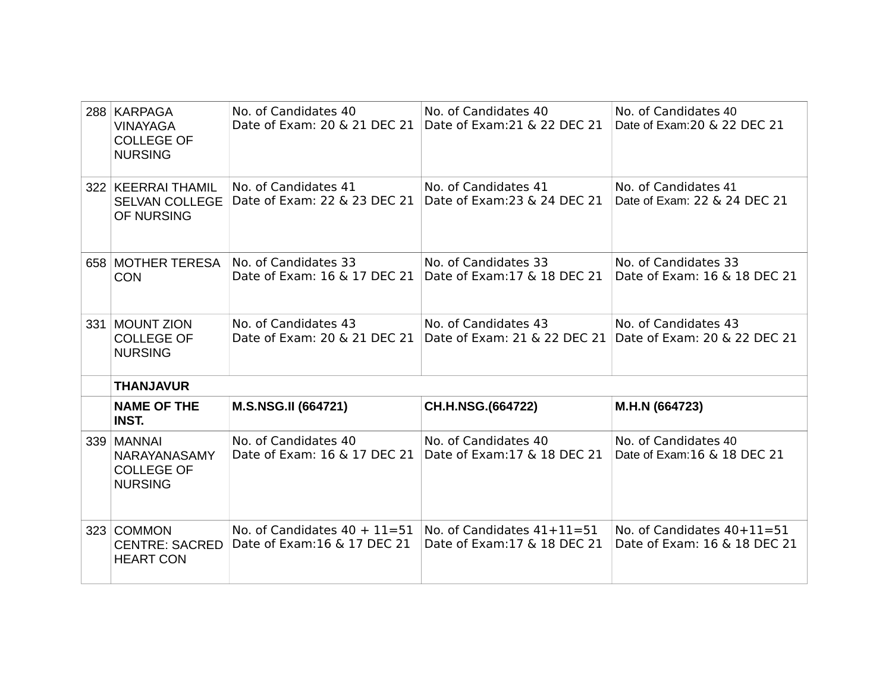| 288 KARPAGA<br><b>VINAYAGA</b><br><b>COLLEGE OF</b><br><b>NURSING</b> | No. of Candidates 40<br>Date of Exam: 20 & 21 DEC 21             | No. of Candidates 40<br>Date of Exam: 21 & 22 DEC 21         | No. of Candidates 40<br>Date of Exam: 20 & 22 DEC 21                              |
|-----------------------------------------------------------------------|------------------------------------------------------------------|--------------------------------------------------------------|-----------------------------------------------------------------------------------|
| 322 KEERRAI THAMIL<br><b>SELVAN COLLEGE</b><br>OF NURSING             | No. of Candidates 41<br>Date of Exam: 22 & 23 DEC 21             | No. of Candidates 41<br>Date of Exam: 23 & 24 DEC 21         | No. of Candidates 41<br>Date of Exam: 22 & 24 DEC 21                              |
| 658 MOTHER TERESA<br><b>CON</b>                                       | No. of Candidates 33<br>Date of Exam: 16 & 17 DEC 21             | No. of Candidates 33<br>Date of Exam: 17 & 18 DEC 21         | No. of Candidates 33<br>Date of Exam: 16 & 18 DEC 21                              |
| 331 MOUNT ZION<br><b>COLLEGE OF</b><br><b>NURSING</b>                 | No. of Candidates 43<br>Date of Exam: 20 & 21 DEC 21             | No. of Candidates 43                                         | No. of Candidates 43<br>Date of Exam: 21 & 22 DEC 21 Date of Exam: 20 & 22 DEC 21 |
| <b>THANJAVUR</b>                                                      |                                                                  |                                                              |                                                                                   |
| <b>NAME OF THE</b><br><b>INST.</b>                                    | M.S.NSG.II (664721)                                              | CH.H.NSG.(664722)                                            | M.H.N (664723)                                                                    |
| 339 MANNAI<br>NARAYANASAMY<br><b>COLLEGE OF</b><br><b>NURSING</b>     | No. of Candidates 40<br>Date of Exam: 16 & 17 DEC 21             | No. of Candidates 40<br>Date of Exam: 17 & 18 DEC 21         | No. of Candidates 40<br>Date of Exam: 16 & 18 DEC 21                              |
| 323 COMMON<br><b>CENTRE: SACRED</b><br><b>HEART CON</b>               | No. of Candidates $40 + 11 = 51$<br>Date of Exam: 16 & 17 DEC 21 | No. of Candidates $41+11=51$<br>Date of Exam: 17 & 18 DEC 21 | No. of Candidates $40+11=51$<br>Date of Exam: 16 & 18 DEC 21                      |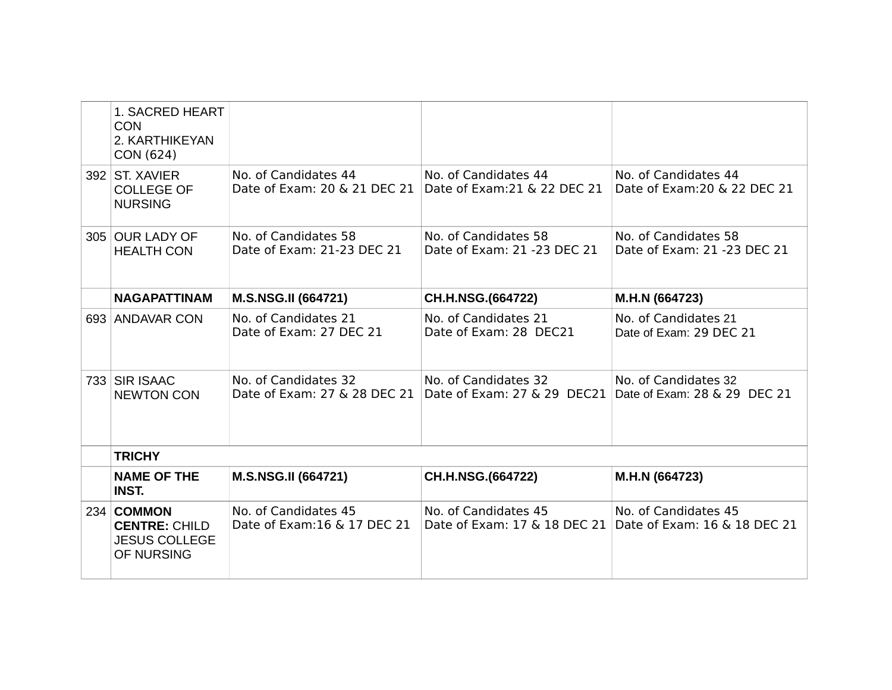| <b>1. SACRED HEART</b><br><b>CON</b><br>2. KARTHIKEYAN<br>CON (624)      |                                                      |                                                                                  |                                                                                   |
|--------------------------------------------------------------------------|------------------------------------------------------|----------------------------------------------------------------------------------|-----------------------------------------------------------------------------------|
| 392 ST. XAVIER<br><b>COLLEGE OF</b><br><b>NURSING</b>                    | No. of Candidates 44<br>Date of Exam: 20 & 21 DEC 21 | No. of Candidates 44<br>Date of Exam: 21 & 22 DEC 21                             | No. of Candidates 44<br>Date of Exam: 20 & 22 DEC 21                              |
| 305 OUR LADY OF<br><b>HEALTH CON</b>                                     | No. of Candidates 58<br>Date of Exam: 21-23 DEC 21   | No. of Candidates 58<br>Date of Exam: 21 -23 DEC 21                              | No. of Candidates 58<br>Date of Exam: 21 -23 DEC 21                               |
| <b>NAGAPATTINAM</b>                                                      | <b>M.S.NSG.II (664721)</b>                           | CH.H.NSG.(664722)                                                                | M.H.N (664723)                                                                    |
| 693 ANDAVAR CON                                                          | No. of Candidates 21<br>Date of Exam: 27 DEC 21      | No. of Candidates 21<br>Date of Exam: 28 DEC21                                   | No. of Candidates 21<br>Date of Exam: 29 DEC 21                                   |
| 733 SIR ISAAC<br><b>NEWTON CON</b>                                       | No. of Candidates 32<br>Date of Exam: 27 & 28 DEC 21 | No. of Candidates 32<br>Date of Exam: 27 & 29 DEC21 Date of Exam: 28 & 29 DEC 21 | No. of Candidates 32                                                              |
| <b>TRICHY</b>                                                            |                                                      |                                                                                  |                                                                                   |
| <b>NAME OF THE</b><br><b>INST.</b>                                       | <b>M.S.NSG.II (664721)</b>                           | CH.H.NSG.(664722)                                                                | M.H.N (664723)                                                                    |
| 234 COMMON<br><b>CENTRE: CHILD</b><br><b>JESUS COLLEGE</b><br>OF NURSING | No. of Candidates 45<br>Date of Exam: 16 & 17 DEC 21 | No. of Candidates 45                                                             | No. of Candidates 45<br>Date of Exam: 17 & 18 DEC 21 Date of Exam: 16 & 18 DEC 21 |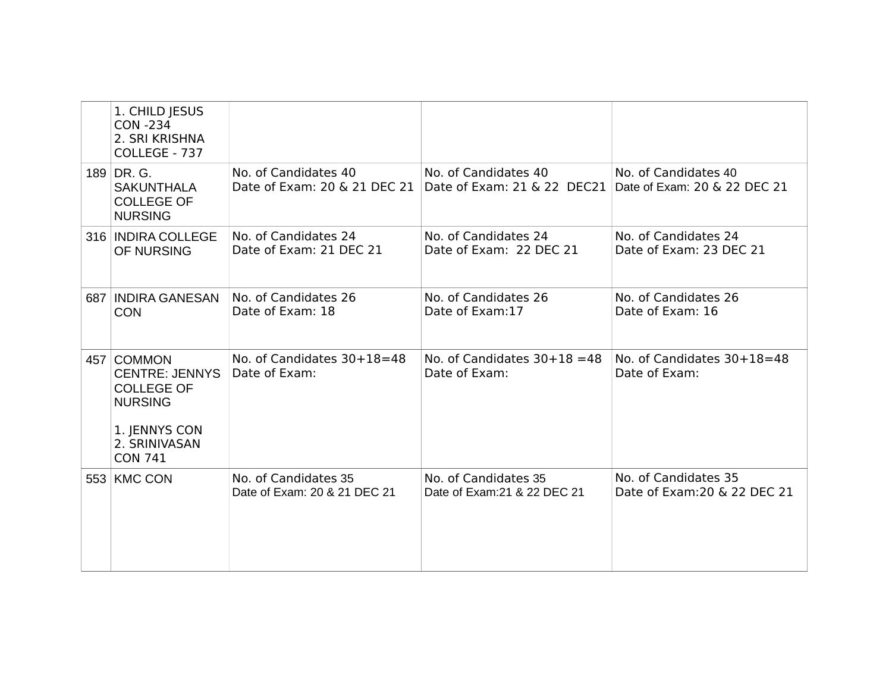|  | 1. CHILD JESUS<br><b>CON -234</b><br>2. SRI KRISHNA<br>COLLEGE - 737                                                           |                                                      |                                                                                  |                                                      |
|--|--------------------------------------------------------------------------------------------------------------------------------|------------------------------------------------------|----------------------------------------------------------------------------------|------------------------------------------------------|
|  | 189 DR. G.<br><b>SAKUNTHALA</b><br><b>COLLEGE OF</b><br><b>NURSING</b>                                                         | No. of Candidates 40<br>Date of Exam: 20 & 21 DEC 21 | No. of Candidates 40<br>Date of Exam: 21 & 22 DEC21 Date of Exam: 20 & 22 DEC 21 | No. of Candidates 40                                 |
|  | 316 INDIRA COLLEGE<br>OF NURSING                                                                                               | No. of Candidates 24<br>Date of Exam: 21 DEC 21      | No. of Candidates 24<br>Date of Exam: 22 DEC 21                                  | No. of Candidates 24<br>Date of Exam: 23 DEC 21      |
|  | 687 INDIRA GANESAN<br><b>CON</b>                                                                                               | No. of Candidates 26<br>Date of Exam: 18             | No. of Candidates 26<br>Date of Exam:17                                          | No. of Candidates 26<br>Date of Exam: 16             |
|  | 457 COMMON<br><b>CENTRE: JENNYS</b><br><b>COLLEGE OF</b><br><b>NURSING</b><br>1. JENNYS CON<br>2. SRINIVASAN<br><b>CON 741</b> | No. of Candidates 30+18=48<br>Date of Exam:          | No. of Candidates $30+18=48$<br>Date of Exam:                                    | No. of Candidates 30+18=48<br>Date of Exam:          |
|  | 553 KMC CON                                                                                                                    | No. of Candidates 35<br>Date of Exam: 20 & 21 DEC 21 | No. of Candidates 35<br>Date of Exam: 21 & 22 DEC 21                             | No. of Candidates 35<br>Date of Exam: 20 & 22 DEC 21 |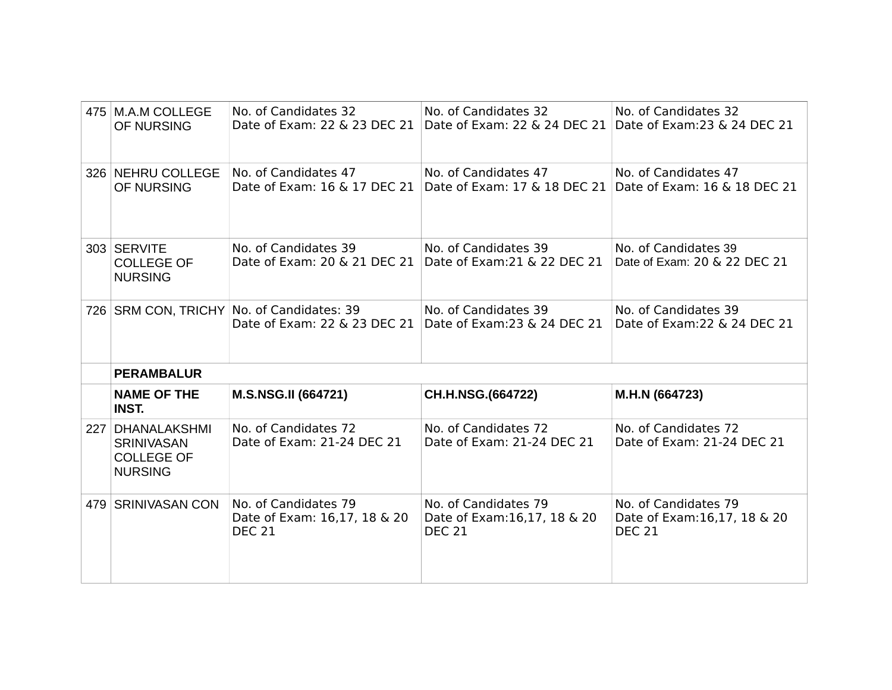|                  | 475   M.A.M COLLEGE<br>OF NURSING                                               | No. of Candidates 32                                                          | No. of Candidates 32<br>Date of Exam: 22 & 23 DEC 21 Date of Exam: 22 & 24 DEC 21 Date of Exam: 23 & 24 DEC 21 | No. of Candidates 32                                 |
|------------------|---------------------------------------------------------------------------------|-------------------------------------------------------------------------------|----------------------------------------------------------------------------------------------------------------|------------------------------------------------------|
|                  | 326 NEHRU COLLEGE<br>OF NURSING                                                 | No. of Candidates 47                                                          | No. of Candidates 47<br>Date of Exam: 16 & 17 DEC 21 Date of Exam: 17 & 18 DEC 21 Date of Exam: 16 & 18 DEC 21 | No. of Candidates 47                                 |
|                  | 303 SERVITE<br><b>COLLEGE OF</b><br><b>NURSING</b>                              | No. of Candidates 39<br>Date of Exam: 20 & 21 DEC 21                          | No. of Candidates 39<br>Date of Exam: 21 & 22 DEC 21                                                           | No. of Candidates 39<br>Date of Exam: 20 & 22 DEC 21 |
|                  |                                                                                 | 726   SRM CON, TRICHY   No. of Candidates: 39<br>Date of Exam: 22 & 23 DEC 21 | No. of Candidates 39<br>Date of Exam: 23 & 24 DEC 21                                                           | No. of Candidates 39<br>Date of Exam: 22 & 24 DEC 21 |
|                  |                                                                                 |                                                                               |                                                                                                                |                                                      |
|                  | <b>PERAMBALUR</b>                                                               |                                                                               |                                                                                                                |                                                      |
|                  | <b>NAME OF THE</b><br><b>INST.</b>                                              | <b>M.S.NSG.II (664721)</b>                                                    | CH.H.NSG.(664722)                                                                                              | M.H.N (664723)                                       |
| 227 <sub>1</sub> | <b>DHANALAKSHMI</b><br><b>SRINIVASAN</b><br><b>COLLEGE OF</b><br><b>NURSING</b> | No. of Candidates 72<br>Date of Exam: 21-24 DEC 21                            | No. of Candidates 72<br>Date of Exam: 21-24 DEC 21                                                             | No. of Candidates 72<br>Date of Exam: 21-24 DEC 21   |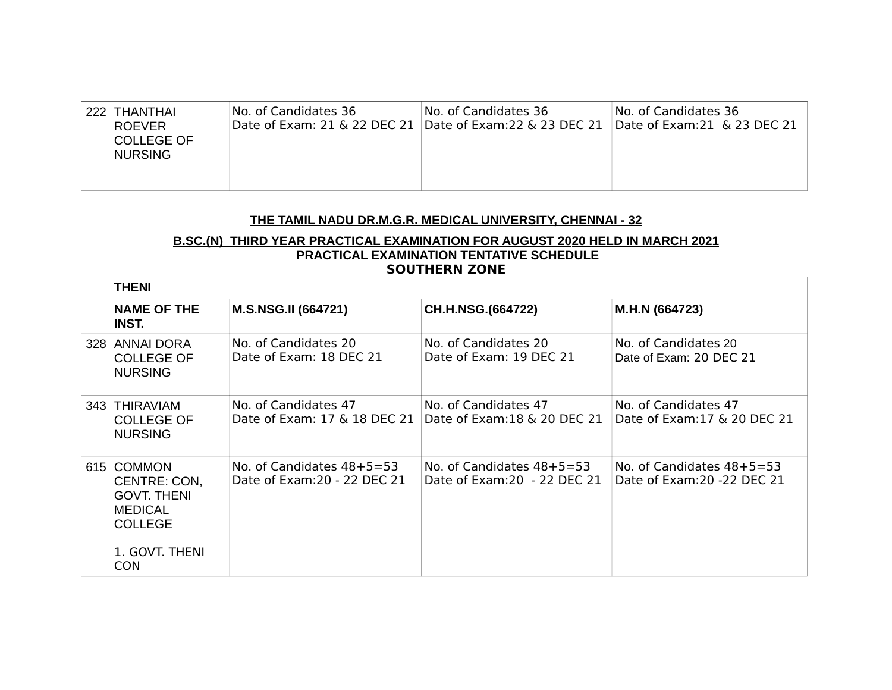| 222 THANTHAI<br>ROEVER<br>COLLEGE OF<br>NURSING. | No. of Candidates 36 | No. of Candidates 36<br>Date of Exam: 21 & 22 DEC 21   Date of Exam: 22 & 23 DEC 21 | No. of Candidates 36<br>Date of Exam: $21 \& 23$ DEC $21$ |
|--------------------------------------------------|----------------------|-------------------------------------------------------------------------------------|-----------------------------------------------------------|
|                                                  |                      |                                                                                     |                                                           |

# **THE TAMIL NADU DR.M.G.R. MEDICAL UNIVERSITY, CHENNAI - 32**

#### **B.SC.(N) THIRD YEAR PRACTICAL EXAMINATION FOR AUGUST 2020 HELD IN MARCH 2021 PRACTICAL EXAMINATION TENTATIVE SCHEDULE SOUTHERN ZONE**

| <b>THENI</b>                                                                                                         |                                                             |                                                             |                                                             |  |  |
|----------------------------------------------------------------------------------------------------------------------|-------------------------------------------------------------|-------------------------------------------------------------|-------------------------------------------------------------|--|--|
| <b>NAME OF THE</b><br>INST.                                                                                          | <b>M.S.NSG.II (664721)</b>                                  | CH.H.NSG.(664722)                                           | M.H.N (664723)                                              |  |  |
| 328 ANNAI DORA<br><b>COLLEGE OF</b><br><b>NURSING</b>                                                                | No. of Candidates 20<br>Date of Exam: 18 DEC 21             | No. of Candidates 20<br>Date of Exam: 19 DEC 21             | No. of Candidates 20<br>Date of Exam: 20 DEC 21             |  |  |
| 343 THIRAVIAM<br><b>COLLEGE OF</b><br><b>NURSING</b>                                                                 | No. of Candidates 47<br>Date of Exam: 17 & 18 DEC 21        | No. of Candidates 47<br>Date of Exam: 18 & 20 DEC 21        | No. of Candidates 47<br>Date of Exam: 17 & 20 DEC 21        |  |  |
| 615 COMMON<br>CENTRE: CON,<br><b>GOVT. THENI</b><br><b>MEDICAL</b><br><b>COLLEGE</b><br>1. GOVT. THENI<br><b>CON</b> | No. of Candidates $48+5=53$<br>Date of Exam: 20 - 22 DEC 21 | No. of Candidates $48+5=53$<br>Date of Exam: 20 - 22 DEC 21 | No. of Candidates $48+5=53$<br>Date of Exam: 20 - 22 DEC 21 |  |  |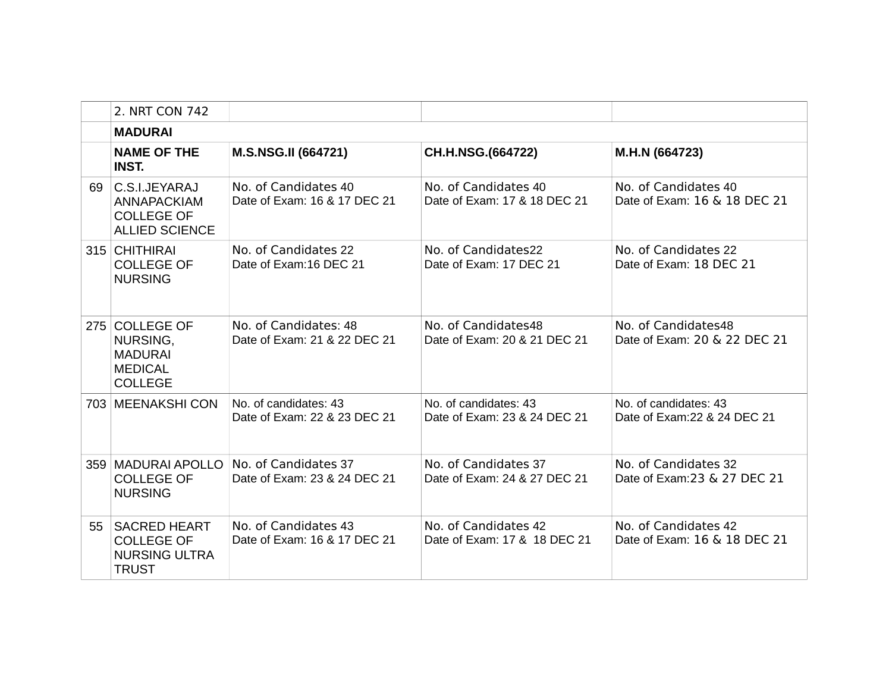|    | 2. NRT CON 742                                                                   |                                                       |                                                       |                                                       |
|----|----------------------------------------------------------------------------------|-------------------------------------------------------|-------------------------------------------------------|-------------------------------------------------------|
|    | <b>MADURAI</b>                                                                   |                                                       |                                                       |                                                       |
|    | <b>NAME OF THE</b><br><b>INST.</b>                                               | <b>M.S.NSG.II (664721)</b>                            | CH.H.NSG.(664722)                                     | M.H.N (664723)                                        |
| 69 | C.S.I.JEYARAJ<br>ANNAPACKIAM<br><b>COLLEGE OF</b><br><b>ALLIED SCIENCE</b>       | No. of Candidates 40<br>Date of Exam: 16 & 17 DEC 21  | No. of Candidates 40<br>Date of Exam: 17 & 18 DEC 21  | No. of Candidates 40<br>Date of Exam: 16 & 18 DEC 21  |
|    | 315 CHITHIRAI<br><b>COLLEGE OF</b><br><b>NURSING</b>                             | No. of Candidates 22<br>Date of Exam:16 DEC 21        | No. of Candidates22<br>Date of Exam: 17 DEC 21        | No. of Candidates 22<br>Date of Exam: 18 DEC 21       |
|    | 275 COLLEGE OF<br>NURSING,<br><b>MADURAI</b><br><b>MEDICAL</b><br><b>COLLEGE</b> | No. of Candidates: 48<br>Date of Exam: 21 & 22 DEC 21 | No. of Candidates48<br>Date of Exam: 20 & 21 DEC 21   | No. of Candidates48<br>Date of Exam: 20 & 22 DEC 21   |
|    | 703 MEENAKSHI CON                                                                | No. of candidates: 43<br>Date of Exam: 22 & 23 DEC 21 | No. of candidates: 43<br>Date of Exam: 23 & 24 DEC 21 | No. of candidates: 43<br>Date of Exam: 22 & 24 DEC 21 |
|    | 359   MADURAI APOLLO<br><b>COLLEGE OF</b><br><b>NURSING</b>                      | No. of Candidates 37<br>Date of Exam: 23 & 24 DEC 21  | No. of Candidates 37<br>Date of Exam: 24 & 27 DEC 21  | No. of Candidates 32<br>Date of Exam: 23 & 27 DEC 21  |
| 55 | <b>SACRED HEART</b><br><b>COLLEGE OF</b><br><b>NURSING ULTRA</b><br><b>TRUST</b> | No. of Candidates 43<br>Date of Exam: 16 & 17 DEC 21  | No. of Candidates 42<br>Date of Exam: 17 & 18 DEC 21  | No. of Candidates 42<br>Date of Exam: 16 & 18 DEC 21  |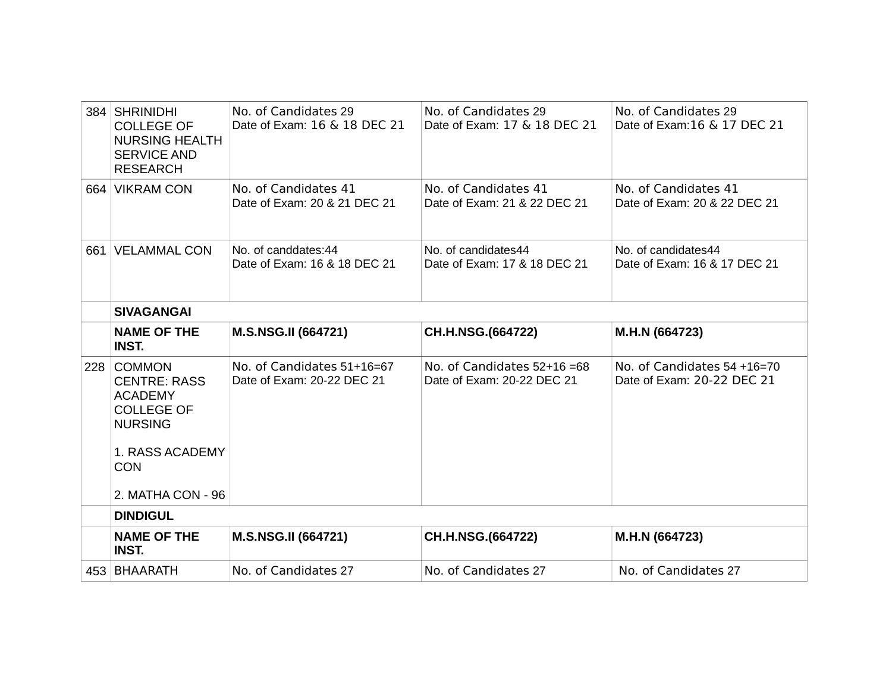|     | 384 SHRINIDHI<br><b>COLLEGE OF</b><br><b>NURSING HEALTH</b><br><b>SERVICE AND</b><br><b>RESEARCH</b>                                                | No. of Candidates 29<br>Date of Exam: 16 & 18 DEC 21     | No. of Candidates 29<br>Date of Exam: 17 & 18 DEC 21       | No. of Candidates 29<br>Date of Exam: 16 & 17 DEC 21      |
|-----|-----------------------------------------------------------------------------------------------------------------------------------------------------|----------------------------------------------------------|------------------------------------------------------------|-----------------------------------------------------------|
|     | 664 VIKRAM CON                                                                                                                                      | No. of Candidates 41<br>Date of Exam: 20 & 21 DEC 21     | No. of Candidates 41<br>Date of Exam: 21 & 22 DEC 21       | No. of Candidates 41<br>Date of Exam: 20 & 22 DEC 21      |
|     | 661 VELAMMAL CON                                                                                                                                    | No. of canddates:44<br>Date of Exam: 16 & 18 DEC 21      | No. of candidates44<br>Date of Exam: 17 & 18 DEC 21        | No. of candidates44<br>Date of Exam: 16 & 17 DEC 21       |
|     | <b>SIVAGANGAI</b>                                                                                                                                   |                                                          |                                                            |                                                           |
|     | <b>NAME OF THE</b><br><b>INST.</b>                                                                                                                  | <b>M.S.NSG.II (664721)</b>                               | CH.H.NSG.(664722)                                          | M.H.N (664723)                                            |
| 228 | <b>COMMON</b><br><b>CENTRE: RASS</b><br><b>ACADEMY</b><br><b>COLLEGE OF</b><br><b>NURSING</b><br>1. RASS ACADEMY<br><b>CON</b><br>2. MATHA CON - 96 | No. of Candidates 51+16=67<br>Date of Exam: 20-22 DEC 21 | No. of Candidates $52+16=68$<br>Date of Exam: 20-22 DEC 21 | No. of Candidates 54 +16=70<br>Date of Exam: 20-22 DEC 21 |
|     | <b>DINDIGUL</b>                                                                                                                                     |                                                          |                                                            |                                                           |
|     | <b>NAME OF THE</b><br><b>INST.</b>                                                                                                                  | <b>M.S.NSG.II (664721)</b>                               | CH.H.NSG.(664722)                                          | M.H.N (664723)                                            |
|     | 453 BHAARATH                                                                                                                                        | No. of Candidates 27                                     | No. of Candidates 27                                       | No. of Candidates 27                                      |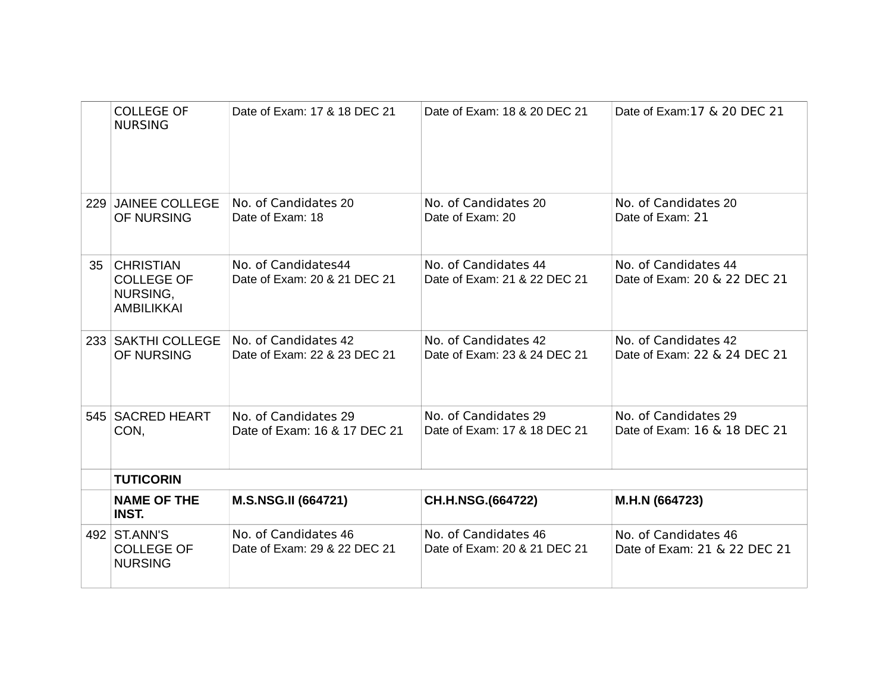|    | <b>COLLEGE OF</b><br><b>NURSING</b>                                    | Date of Exam: 17 & 18 DEC 21                         | Date of Exam: 18 & 20 DEC 21                         | Date of Exam: 17 & 20 DEC 21                         |  |
|----|------------------------------------------------------------------------|------------------------------------------------------|------------------------------------------------------|------------------------------------------------------|--|
|    | 229 JAINEE COLLEGE<br>OF NURSING                                       | No. of Candidates 20<br>Date of Exam: 18             | No. of Candidates 20<br>Date of Exam: 20             | No. of Candidates 20<br>Date of Exam: 21             |  |
| 35 | <b>CHRISTIAN</b><br><b>COLLEGE OF</b><br>NURSING,<br><b>AMBILIKKAI</b> | No. of Candidates44<br>Date of Exam: 20 & 21 DEC 21  | No. of Candidates 44<br>Date of Exam: 21 & 22 DEC 21 | No. of Candidates 44<br>Date of Exam: 20 & 22 DEC 21 |  |
|    | 233   SAKTHI COLLEGE<br>OF NURSING                                     | No. of Candidates 42<br>Date of Exam: 22 & 23 DEC 21 | No. of Candidates 42<br>Date of Exam: 23 & 24 DEC 21 | No. of Candidates 42<br>Date of Exam: 22 & 24 DEC 21 |  |
|    | 545   SACRED HEART<br>CON,                                             | No. of Candidates 29<br>Date of Exam: 16 & 17 DEC 21 | No. of Candidates 29<br>Date of Exam: 17 & 18 DEC 21 | No. of Candidates 29<br>Date of Exam: 16 & 18 DEC 21 |  |
|    | <b>TUTICORIN</b>                                                       |                                                      |                                                      |                                                      |  |
|    | <b>NAME OF THE</b><br><b>INST.</b>                                     | M.S.NSG.II (664721)                                  | CH.H.NSG.(664722)                                    | M.H.N (664723)                                       |  |
|    | 492 ST.ANN'S<br><b>COLLEGE OF</b><br><b>NURSING</b>                    | No. of Candidates 46<br>Date of Exam: 29 & 22 DEC 21 | No. of Candidates 46<br>Date of Exam: 20 & 21 DEC 21 | No. of Candidates 46<br>Date of Exam: 21 & 22 DEC 21 |  |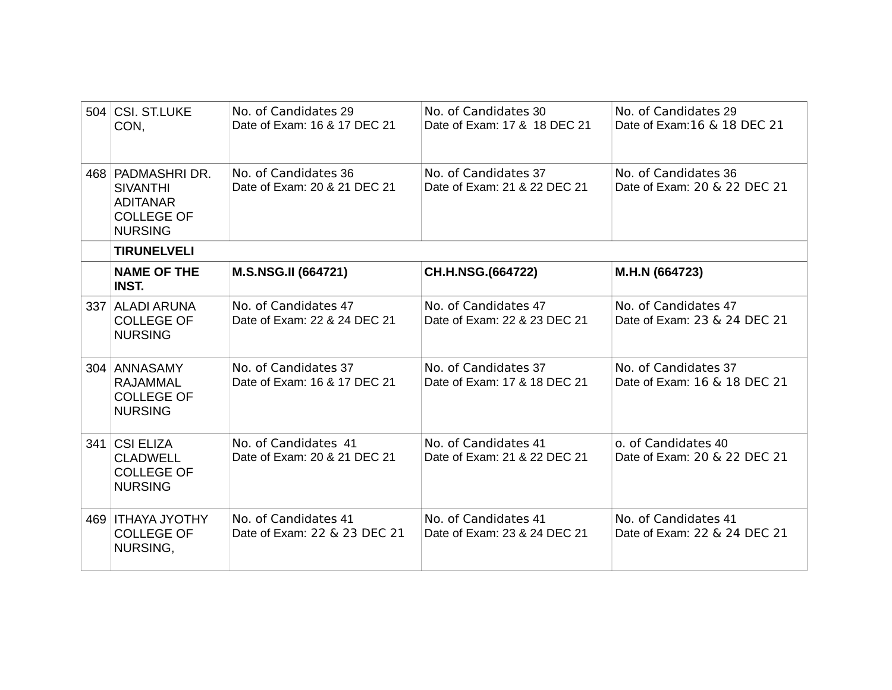| 504 CSI, ST.LUKE<br>CON,                                                                      | No. of Candidates 29<br>Date of Exam: 16 & 17 DEC 21 | No. of Candidates 30<br>Date of Exam: 17 & 18 DEC 21 | No. of Candidates 29<br>Date of Exam: 16 & 18 DEC 21 |
|-----------------------------------------------------------------------------------------------|------------------------------------------------------|------------------------------------------------------|------------------------------------------------------|
| 468 PADMASHRIDR.<br><b>SIVANTHI</b><br><b>ADITANAR</b><br><b>COLLEGE OF</b><br><b>NURSING</b> | No. of Candidates 36<br>Date of Exam: 20 & 21 DEC 21 | No. of Candidates 37<br>Date of Exam: 21 & 22 DEC 21 | No. of Candidates 36<br>Date of Exam: 20 & 22 DEC 21 |
| <b>TIRUNELVELI</b>                                                                            |                                                      |                                                      |                                                      |
| <b>NAME OF THE</b><br><b>INST.</b>                                                            | M.S.NSG.II (664721)                                  | CH.H.NSG.(664722)                                    | M.H.N (664723)                                       |
| 337 ALADI ARUNA<br><b>COLLEGE OF</b><br><b>NURSING</b>                                        | No. of Candidates 47<br>Date of Exam: 22 & 24 DEC 21 | No. of Candidates 47<br>Date of Exam: 22 & 23 DEC 21 | No. of Candidates 47<br>Date of Exam: 23 & 24 DEC 21 |
| 304 ANNASAMY<br><b>RAJAMMAL</b><br><b>COLLEGE OF</b><br><b>NURSING</b>                        | No. of Candidates 37<br>Date of Exam: 16 & 17 DEC 21 | No. of Candidates 37<br>Date of Exam: 17 & 18 DEC 21 | No. of Candidates 37<br>Date of Exam: 16 & 18 DEC 21 |
| 341 CSI ELIZA<br><b>CLADWELL</b><br><b>COLLEGE OF</b><br><b>NURSING</b>                       | No. of Candidates 41<br>Date of Exam: 20 & 21 DEC 21 | No. of Candidates 41<br>Date of Exam: 21 & 22 DEC 21 | o. of Candidates 40<br>Date of Exam: 20 & 22 DEC 21  |
| 469   ITHAYA JYOTHY<br><b>COLLEGE OF</b><br>NURSING,                                          | No. of Candidates 41<br>Date of Exam: 22 & 23 DEC 21 | No. of Candidates 41<br>Date of Exam: 23 & 24 DEC 21 | No. of Candidates 41<br>Date of Exam: 22 & 24 DEC 21 |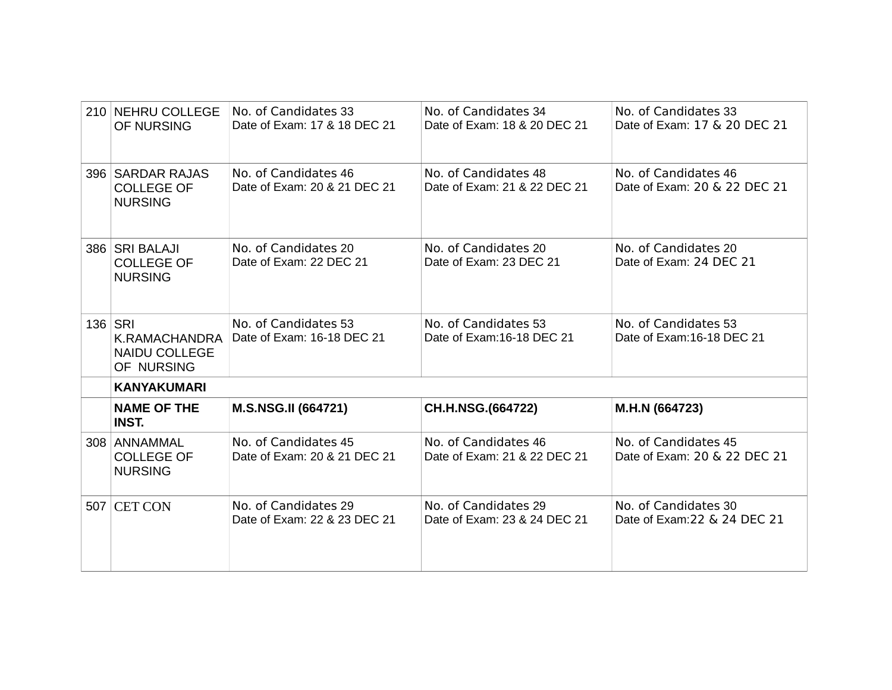| 210 NEHRU COLLEGE<br>OF NURSING                                | No. of Candidates 33<br>Date of Exam: 17 & 18 DEC 21 | No. of Candidates 34<br>Date of Exam: 18 & 20 DEC 21 | No. of Candidates 33<br>Date of Exam: 17 & 20 DEC 21 |
|----------------------------------------------------------------|------------------------------------------------------|------------------------------------------------------|------------------------------------------------------|
| 396 SARDAR RAJAS<br><b>COLLEGE OF</b><br><b>NURSING</b>        | No. of Candidates 46<br>Date of Exam: 20 & 21 DEC 21 | No. of Candidates 48<br>Date of Exam: 21 & 22 DEC 21 | No. of Candidates 46<br>Date of Exam: 20 & 22 DEC 21 |
| 386 SRI BALAJI<br><b>COLLEGE OF</b><br><b>NURSING</b>          | No. of Candidates 20<br>Date of Exam: 22 DEC 21      | No. of Candidates 20<br>Date of Exam: 23 DEC 21      | No. of Candidates 20<br>Date of Exam: 24 DEC 21      |
| 136 SRI<br>K.RAMACHANDRA<br><b>NAIDU COLLEGE</b><br>OF NURSING | No. of Candidates 53<br>Date of Exam: 16-18 DEC 21   | No. of Candidates 53<br>Date of Exam:16-18 DEC 21    | No. of Candidates 53<br>Date of Exam: 16-18 DEC 21   |
| <b>KANYAKUMARI</b>                                             |                                                      |                                                      |                                                      |
| <b>NAME OF THE</b><br><b>INST.</b>                             | <b>M.S.NSG.II (664721)</b>                           | CH.H.NSG.(664722)                                    | M.H.N (664723)                                       |
| 308 ANNAMMAL<br><b>COLLEGE OF</b><br><b>NURSING</b>            | No. of Candidates 45<br>Date of Exam: 20 & 21 DEC 21 | No. of Candidates 46<br>Date of Exam: 21 & 22 DEC 21 | No. of Candidates 45<br>Date of Exam: 20 & 22 DEC 21 |
| 507 CET CON                                                    | No. of Candidates 29<br>Date of Exam: 22 & 23 DEC 21 | No. of Candidates 29<br>Date of Exam: 23 & 24 DEC 21 | No. of Candidates 30<br>Date of Exam: 22 & 24 DEC 21 |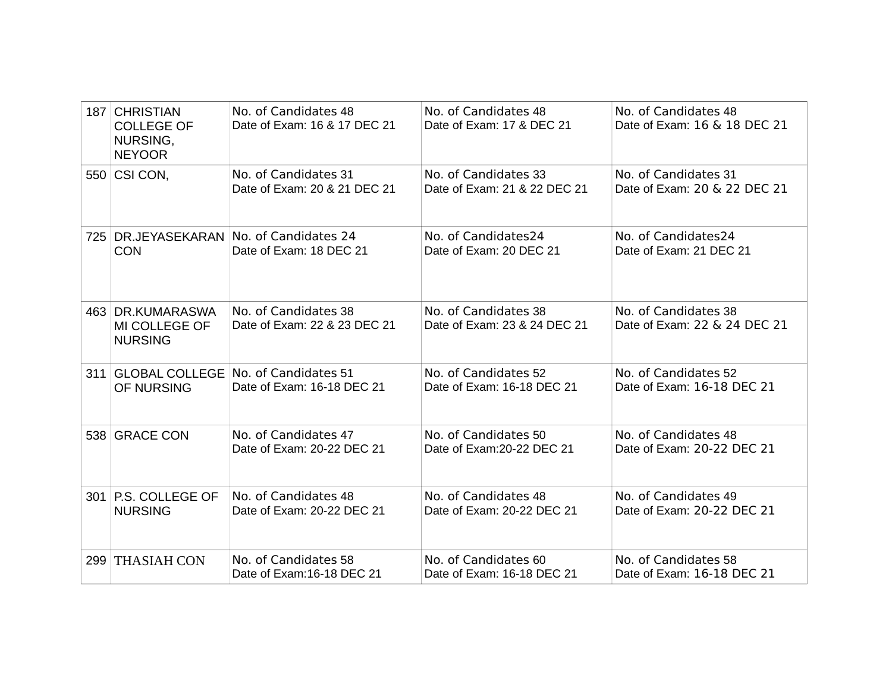|     | 187 CHRISTIAN<br><b>COLLEGE OF</b><br>NURSING,<br><b>NEYOOR</b> | No. of Candidates 48<br>Date of Exam: 16 & 17 DEC 21 | No. of Candidates 48<br>Date of Exam: 17 & DEC 21    | No. of Candidates 48<br>Date of Exam: 16 & 18 DEC 21 |
|-----|-----------------------------------------------------------------|------------------------------------------------------|------------------------------------------------------|------------------------------------------------------|
|     | 550 CSI CON,                                                    | No. of Candidates 31<br>Date of Exam: 20 & 21 DEC 21 | No. of Candidates 33<br>Date of Exam: 21 & 22 DEC 21 | No. of Candidates 31<br>Date of Exam: 20 & 22 DEC 21 |
| 725 | DR.JEYASEKARAN<br><b>CON</b>                                    | No. of Candidates 24<br>Date of Exam: 18 DEC 21      | No. of Candidates24<br>Date of Exam: 20 DEC 21       | No. of Candidates24<br>Date of Exam: 21 DEC 21       |
|     | 463 DR.KUMARASWA<br>MI COLLEGE OF<br><b>NURSING</b>             | No. of Candidates 38<br>Date of Exam: 22 & 23 DEC 21 | No. of Candidates 38<br>Date of Exam: 23 & 24 DEC 21 | No. of Candidates 38<br>Date of Exam: 22 & 24 DEC 21 |
|     | 311 GLOBAL COLLEGE<br>OF NURSING                                | No. of Candidates 51<br>Date of Exam: 16-18 DEC 21   | No. of Candidates 52<br>Date of Exam: 16-18 DEC 21   | No. of Candidates 52<br>Date of Exam: 16-18 DEC 21   |
|     | 538 GRACE CON                                                   | No. of Candidates 47<br>Date of Exam: 20-22 DEC 21   | No. of Candidates 50<br>Date of Exam: 20-22 DEC 21   | No. of Candidates 48<br>Date of Exam: 20-22 DEC 21   |
|     | 301 P.S. COLLEGE OF<br><b>NURSING</b>                           | No. of Candidates 48<br>Date of Exam: 20-22 DEC 21   | No. of Candidates 48<br>Date of Exam: 20-22 DEC 21   | No. of Candidates 49<br>Date of Exam: 20-22 DEC 21   |
|     | 299 THASIAH CON                                                 | No. of Candidates 58<br>Date of Exam:16-18 DEC 21    | No. of Candidates 60<br>Date of Exam: 16-18 DEC 21   | No. of Candidates 58<br>Date of Exam: 16-18 DEC 21   |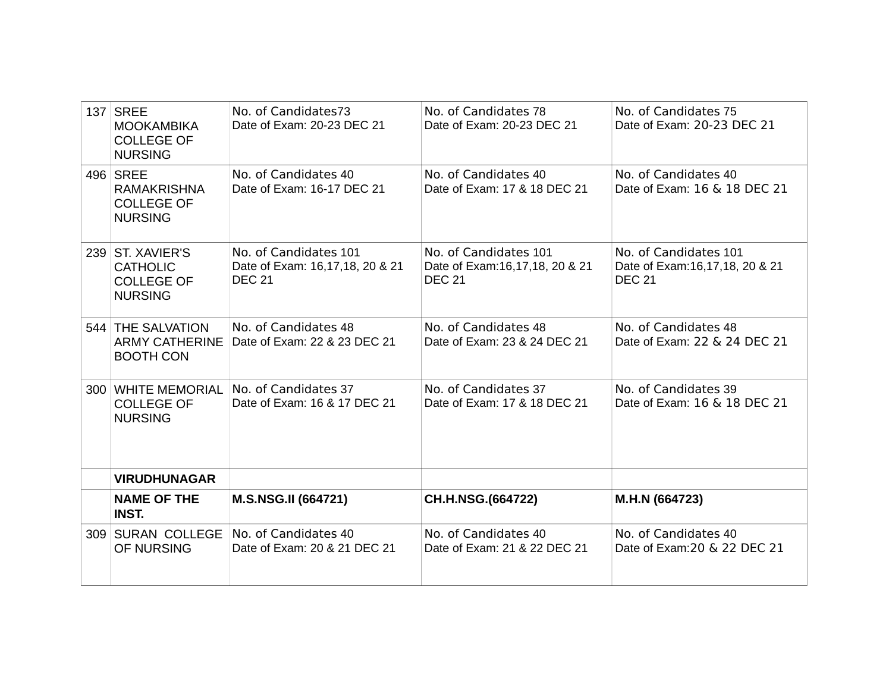| 137   SREE<br><b>MOOKAMBIKA</b><br><b>COLLEGE OF</b><br><b>NURSING</b>     | No. of Candidates73<br>Date of Exam: 20-23 DEC 21                         | No. of Candidates 78<br>Date of Exam: 20-23 DEC 21                       | No. of Candidates 75<br>Date of Exam: 20-23 DEC 21                          |
|----------------------------------------------------------------------------|---------------------------------------------------------------------------|--------------------------------------------------------------------------|-----------------------------------------------------------------------------|
| 496 SREE<br><b>RAMAKRISHNA</b><br><b>COLLEGE OF</b><br><b>NURSING</b>      | No. of Candidates 40<br>Date of Exam: 16-17 DEC 21                        | No. of Candidates 40<br>Date of Exam: 17 & 18 DEC 21                     | No. of Candidates 40<br>Date of Exam: 16 & 18 DEC 21                        |
| 239 ST. XAVIER'S<br><b>CATHOLIC</b><br><b>COLLEGE OF</b><br><b>NURSING</b> | No. of Candidates 101<br>Date of Exam: 16,17,18, 20 & 21<br><b>DEC 21</b> | No. of Candidates 101<br>Date of Exam:16,17,18, 20 & 21<br><b>DEC 21</b> | No. of Candidates 101<br>Date of Exam: 16, 17, 18, 20 & 21<br><b>DEC 21</b> |
| 544 THE SALVATION<br><b>ARMY CATHERINE</b><br><b>BOOTH CON</b>             | No. of Candidates 48<br>Date of Exam: 22 & 23 DEC 21                      | No. of Candidates 48<br>Date of Exam: 23 & 24 DEC 21                     | No. of Candidates 48<br>Date of Exam: 22 & 24 DEC 21                        |
| 300 WHITE MEMORIAL<br><b>COLLEGE OF</b><br><b>NURSING</b>                  | No. of Candidates 37<br>Date of Exam: 16 & 17 DEC 21                      | No. of Candidates 37<br>Date of Exam: 17 & 18 DEC 21                     | No. of Candidates 39<br>Date of Exam: 16 & 18 DEC 21                        |
| <b>VIRUDHUNAGAR</b>                                                        |                                                                           |                                                                          |                                                                             |
| <b>NAME OF THE</b><br><b>INST.</b>                                         | M.S.NSG.II (664721)                                                       | CH.H.NSG.(664722)                                                        | M.H.N (664723)                                                              |
| 309 SURAN COLLEGE<br>OF NURSING                                            | No. of Candidates 40<br>Date of Exam: 20 & 21 DEC 21                      | No. of Candidates 40<br>Date of Exam: 21 & 22 DEC 21                     | No. of Candidates 40<br>Date of Exam: 20 & 22 DEC 21                        |